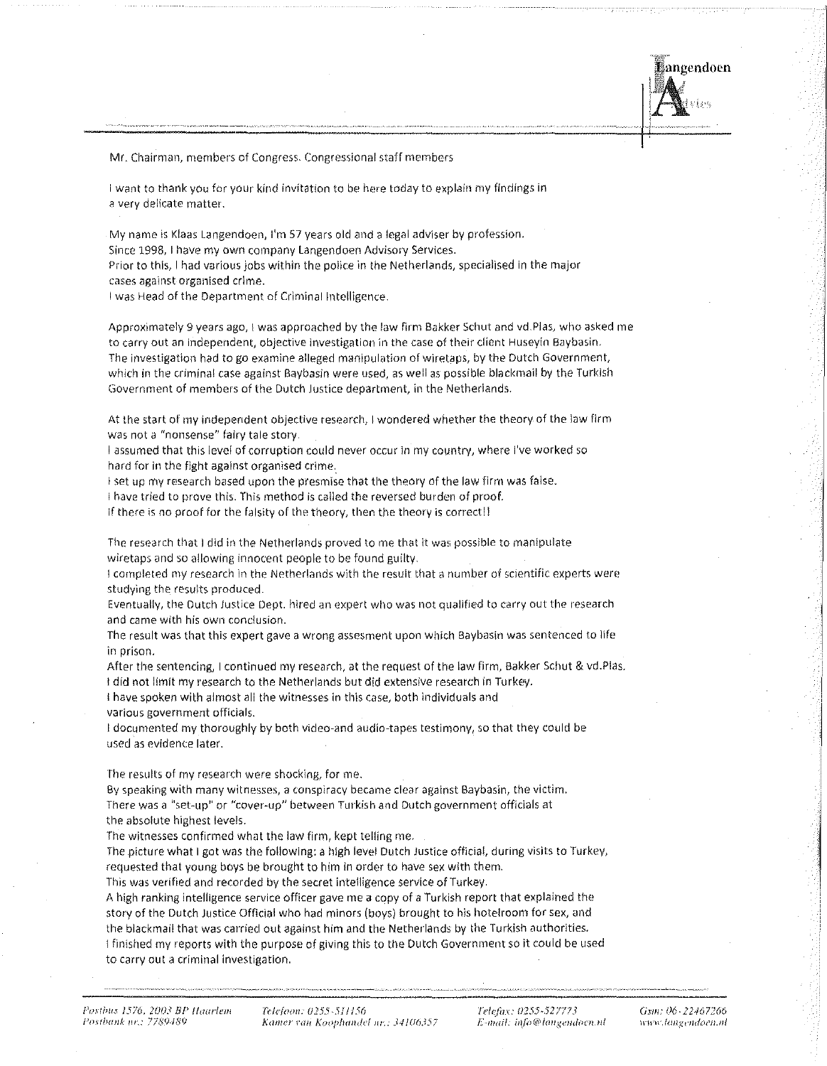angendoen

Mr. Chairman, members of Congress. Congressional staff members

I want to thank you for your kind invitation to be here today to explain my findings in a very delicate matter,

My name is Klaas Langendoen, I'm 57 years old and a legal adviser by profession.

Since 1998, I have my own company Langendoen Advisory Services.

Prior to this, I had various jobs within the police in the Netherlands, specialised in the major cases against organised crime.

I was Head of the Department of Criminal Intelligence.

Approximately 9 years ago, I was approached by the law firm Bakker Schut and vd.Plas, who asked me to carry out an independent, objective investigation in the case of their client Huseyin Baybasin. The investigation had to go examine alleged manipulation of wiretaps, by the Dutch Government, which in the criminal case against Baybasin were used, as well as possible blackmail by the Turkish Government of members of the Dutch Justice department, in the Netherlands.

At the start of my independent objective research, I wondered whether the theory of the law firm was not a "nonsense" fairy tale story,

I assumed that this level of corruption could never occur in my country, where I've worked so hard for in the fight against organised crime.

I set up my research based upon the presmise that the theory of the law firm was false.

I have tried to prove this. This method is called the reversed burden of proof.

If there is no proof for the falsity of the theory, then the theory is correct!!

The research that I did in the Netherlands proved to me that it was possible to manipulate wiretaps and so allowing innocent people to be found guilty.

I completed my research in the Netherlands with the result that a number of scientific experts were studying the results produced.

Eventually, the Dutch Justice Dept. hired an expert who was not qualified to carry out the research and came with his own conclusion.

The result was that this expert gave a wrong assesment upon Which Baybasin was sentenced to llfe in prison.

After the sentencing, I continued my research, at the request of the law firm, Bakker Schut & vd.Plas. I did not limit my research to the Netherlands but did extensive research in Turkey.

I have spoken wlth almost all the witnesses in this case, both individuals and

various government officials.

l documented my thoroughly by both video-and audlo-tapes testimony/ so that they could be used as evidence later.

The results of my research were shocking, for me.

By speaking with many witnesses, a conspiracy became clear against Baybasin, the victim. There was a "set-up" or "cover-up" between Turkish and Dutch government officials at the absolute highest levels.

The witnesses confirmed what the law firm, kept telling me.

The picture what I got was the following: a high level Dutch Justice official, during visits to Turkey, requested that young boys be brought to him in order to have sex with them.

This was verified and recorded by the secret intelligence service of Turkey.

A high ranking intelligence service officer gave me a copy of a Turkish report that explained the story of the Dutch Justice Official who had minors (boys) brought to his hotelroom for sex, and the blackmail that was carried out against him and the Netherlands by the Turkish authorities. l finished my reports with the purpose of giving this to the Dutch Government so it could be used to carry out a criminal investigation.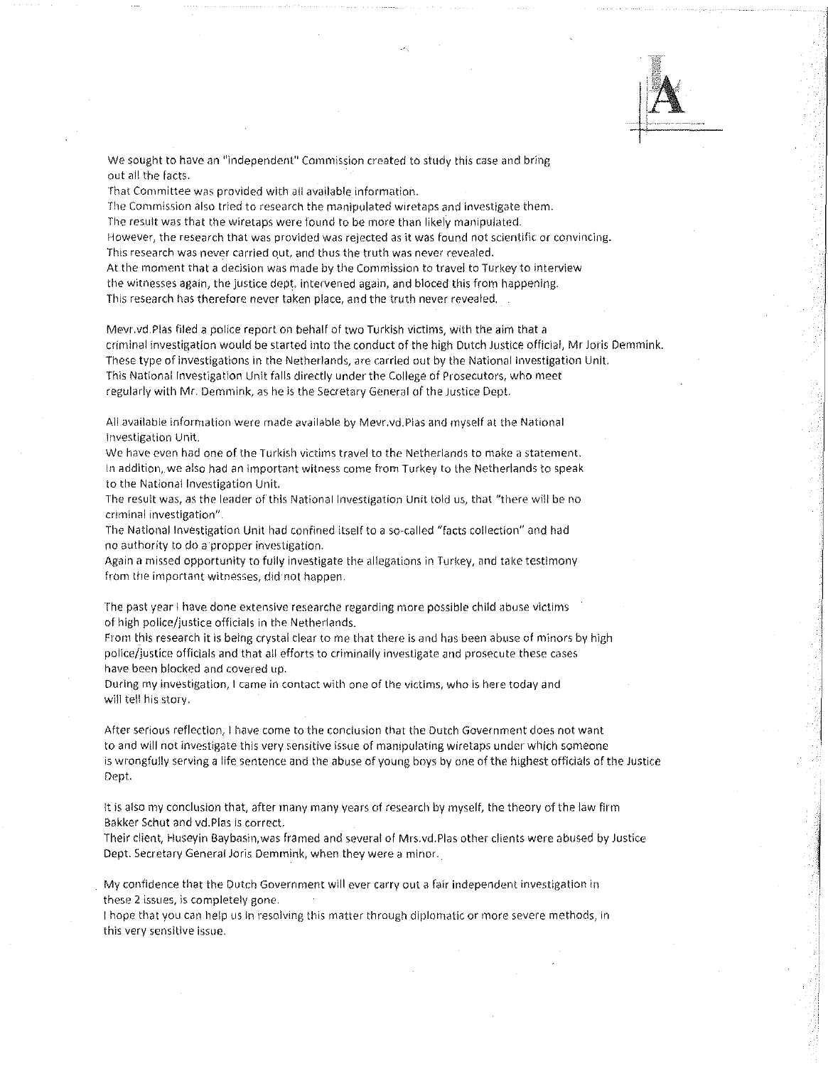We sought to have an "independent" Commission created to study this case and bring out all the facts,

That Committee was provided with all available information.

The Commission also tried to research the manipulated wiretaps and investigate them. The result was that the wiretaps were found to be more than likely manipulated. However, the research that was provided was rejected as it was found not scientific or convincing. This research was never carried qut, and thus the truth was never revealed. At the moment that a decision was made by the Commission to travel to Turkey to interview the witnesses again, the justice dept. intervened again, and bloced this from happening.

This research has therefore never taken place, and the truth never revealed.

Mevr.vd.Plas filed a police report on behalf of two Turkish victims, with the aim that a criminal investigation would be started into the conduct of the high Dutch Justice official, Mr Joris Demmink. These type of investigations in the Netherlands, are carried out by the National Investigation Unit. This National Investigation Unit falls directly under the College of Prosecutors, who meet regularly with Mr. Demmlnk, as he is the Secretary General of the Justice Dept.

All available information were made available by Mevr.vd.Plas and myself at the National Investigation Unit.

We have even had one of the Turkish victims travel to the Netherlands to make a statement. In addition, we also had an important witness come from Turkey to the Netherlands to speak to the National Investigation Unit.

The result was, as the leader of this National Investigation Unit told us, that "there will be no criminal investigation".

The National Investigation Unlt had confined itself to a so·-called "facts collection" and had no authority to do a propper investigation.

Again a missed opportunity to fully investigate the allegations in Turkey, and take testimony from the important witnesses, did· not happen.

The past year I have done extensive researche regarding more possible child abuse victims of high police/justice officials in the Netherlands.

From this research it is being crystal clear to me that there is and has been abuse of minors by high police/justice officials and that all efforts to criminally investigate and prosecute these cases have been blocked and covered up.

During my investigation, I came in contact with one of the victims, who ls here today and will tell his story.

After serious reflection, 1 have come to the conclusion that the Dutch Government does not want to and will not investigate this very sensitive issue of manipulating wiretaps under which someone is wrongfully serving a life sentence and the abuse of young boys by one of the highest officials of the Justice Dept.

It is also my conclusion that, after many many years of research by myself, the theory of the law firm Bakker Schut and vd.Pias is correct.

Their client, Huseyin Baybasin,was framed and several of Mrs.vd.Pias other clients were abused by Justice Dept. Secretary General Joris Demmink, when they were a minor.

My confidence that the Dutch Government wlll ever carry out a fair independent investigation in these 2 issues, is completely gone.

! hope that you can help us in resolving this matter through diplomatic or more severe methods, in this very sensitive issue.